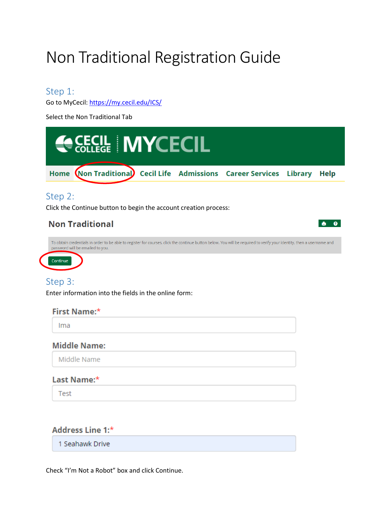# Non Traditional Registration Guide

### Step 1:

Go to MyCecil:<https://my.cecil.edu/ICS/>

Select the Non Traditional Tab



Ima

#### **Middle Name:**

Middle Name

#### Last Name:\*

**Test** 

#### Address Line 1:\*

1 Seahawk Drive

Check "I'm Not a Robot" box and click Continue.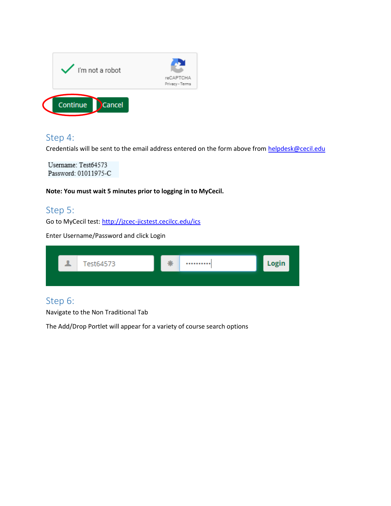

## Step 4:

Credentials will be sent to the email address entered on the form above from [helpdesk@cecil.edu](mailto:helpdesk@cecil.edu)

Username: Test64573 Password: 01011975-C

**Note: You must wait 5 minutes prior to logging in to MyCecil.**

# Step 5:

Go to MyCecil test[: http://jzcec-jicstest.cecilcc.edu/ics](http://jzcec-jicstest.cecilcc.edu/ics)

Enter Username/Password and click Login

| 호 | Test64573 | عالم<br>* | <br>Login |
|---|-----------|-----------|-----------|
|   |           |           |           |

# Step 6:

Navigate to the Non Traditional Tab

The Add/Drop Portlet will appear for a variety of course search options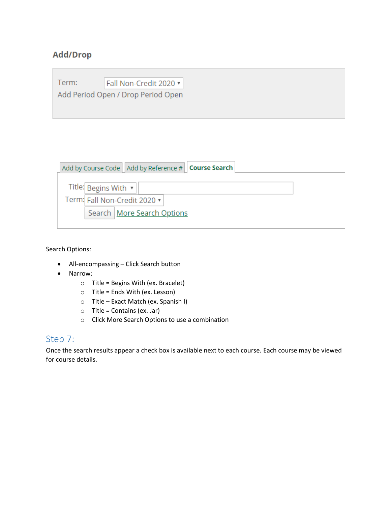## **Add/Drop**

| Term: | Fall Non-Credit 2020 v             |
|-------|------------------------------------|
|       | Add Period Open / Drop Period Open |
|       |                                    |

|  |                                 | Add by Course Code   Add by Reference #   Course Search |
|--|---------------------------------|---------------------------------------------------------|
|  | Title: Begins With $\mathbf{v}$ |                                                         |
|  |                                 | Term: Fall Non-Credit 2020 $\blacktriangledown$         |
|  |                                 | Search   More Search Options                            |

Search Options:

- All-encompassing Click Search button
- Narrow:
	- $\circ$  Title = Begins With (ex. Bracelet)
	- $\circ$  Title = Ends With (ex. Lesson)
	- o Title Exact Match (ex. Spanish I)
	- $\circ$  Title = Contains (ex. Jar)
	- o Click More Search Options to use a combination

# Step 7:

Once the search results appear a check box is available next to each course. Each course may be viewed for course details.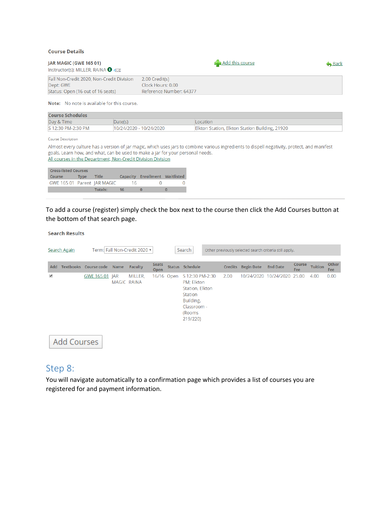#### **Course Details**

| <b>JAR MAGIC (GWE 165 01)</b><br>Instructor(s): MILLER, RAINA $\bigoplus_{i\in\mathbb{Z}}\mathbb{R}$ |                         | Add this course | <b>Back</b> |
|------------------------------------------------------------------------------------------------------|-------------------------|-----------------|-------------|
| Fall Non-Credit 2020, Non-Credit Division                                                            | 2.00 Credit(s)          |                 |             |
| Dept: GWE                                                                                            | Clock Hours: 0.00       |                 |             |
| Status: Open (16 out of 16 seats)                                                                    | Reference Number: 64377 |                 |             |

Note: No note is available for this course.

| <b>Course Schedules</b> |                         |                                                |  |  |  |  |  |
|-------------------------|-------------------------|------------------------------------------------|--|--|--|--|--|
| Day & Time              | Date(s)                 | ocation                                        |  |  |  |  |  |
| S 12:30 PM-2:30 PM      | 10/24/2020 - 10/24/2020 | Elkton Station, Elkton Station Building, 21920 |  |  |  |  |  |

#### Course Description

Almost every culture has a version of jar magic, which uses jars to combine various ingredients to dispell negativity, protect, and manifest goals. Learn how, and what, can be used to make a jar for your personal needs. All courses in the Department, Non-Credit Division Division

| <b>Cross-listed Courses</b> |             |         |    |                                       |  |  |  |  |  |
|-----------------------------|-------------|---------|----|---------------------------------------|--|--|--|--|--|
| <b>Course</b>               | <b>Type</b> | Title   |    | <b>Capacity Enrollment Waitlisted</b> |  |  |  |  |  |
| GWE 165 01 Parent JAR MAGIC |             |         | 16 |                                       |  |  |  |  |  |
|                             |             | Totals: | 16 |                                       |  |  |  |  |  |

To add a course (register) simply check the box next to the course then click the Add Courses button at the bottom of that search page.

|     | <b>Search Results</b> |                |             |                               |                             |            |                                                                                                               |  |                |                   |                                                        |                      |                |                            |
|-----|-----------------------|----------------|-------------|-------------------------------|-----------------------------|------------|---------------------------------------------------------------------------------------------------------------|--|----------------|-------------------|--------------------------------------------------------|----------------------|----------------|----------------------------|
|     | <b>Search Again</b>   |                |             | Term: Fall Non-Credit 2020 ▼  |                             |            | Search                                                                                                        |  |                |                   | Other previously selected search criteria still apply. |                      |                |                            |
| Add | <b>Textbooks</b>      | Course code    | <b>Name</b> | <b>Faculty</b>                | <b>Seats</b><br><b>Open</b> |            | <b>Status Schedule</b>                                                                                        |  | <b>Credits</b> | <b>Begin Date</b> | <b>End Date</b>                                        | <b>Course</b><br>Fee | <b>Tuition</b> | <b>Other</b><br><b>Fee</b> |
| ✔   |                       | GWE 165 01 JAR |             | MILLER,<br><b>MAGIC RAINA</b> |                             | 16/16 Open | S 12:30 PM-2:30<br>PM; Elkton<br>Station, Elkton<br>Station<br>Building,<br>Classroom -<br>(Rooms<br>219/220) |  | 2.00           |                   | 10/24/2020 10/24/2020                                  | 25.00                | 4.00           | 0.00                       |
|     | Add Courses           |                |             |                               |                             |            |                                                                                                               |  |                |                   |                                                        |                      |                |                            |

### Step 8:

You will navigate automatically to a confirmation page which provides a list of courses you are registered for and payment information.